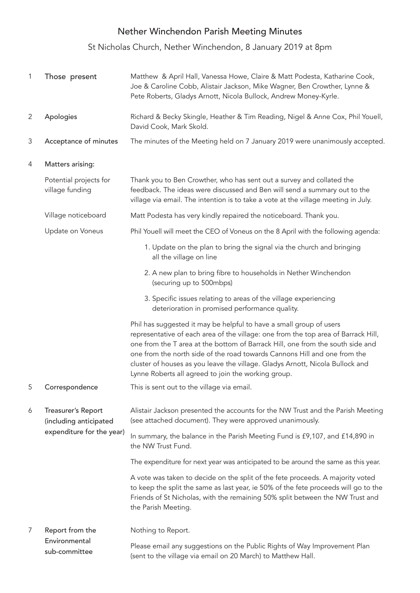## Nether Winchendon Parish Meeting Minutes

St Nicholas Church, Nether Winchendon, 8 January 2019 at 8pm

| $\mathbf{1}$   | Those present                                                             | Matthew & April Hall, Vanessa Howe, Claire & Matt Podesta, Katharine Cook,<br>Joe & Caroline Cobb, Alistair Jackson, Mike Wagner, Ben Crowther, Lynne &<br>Pete Roberts, Gladys Arnott, Nicola Bullock, Andrew Money-Kyrle.                                                                                                                                                                                                                                      |
|----------------|---------------------------------------------------------------------------|------------------------------------------------------------------------------------------------------------------------------------------------------------------------------------------------------------------------------------------------------------------------------------------------------------------------------------------------------------------------------------------------------------------------------------------------------------------|
| 2              | Apologies                                                                 | Richard & Becky Skingle, Heather & Tim Reading, Nigel & Anne Cox, Phil Youell,<br>David Cook, Mark Skold.                                                                                                                                                                                                                                                                                                                                                        |
| 3              | Acceptance of minutes                                                     | The minutes of the Meeting held on 7 January 2019 were unanimously accepted.                                                                                                                                                                                                                                                                                                                                                                                     |
| 4              | Matters arising:                                                          |                                                                                                                                                                                                                                                                                                                                                                                                                                                                  |
|                | Potential projects for<br>village funding                                 | Thank you to Ben Crowther, who has sent out a survey and collated the<br>feedback. The ideas were discussed and Ben will send a summary out to the<br>village via email. The intention is to take a vote at the village meeting in July.                                                                                                                                                                                                                         |
|                | Village noticeboard                                                       | Matt Podesta has very kindly repaired the noticeboard. Thank you.                                                                                                                                                                                                                                                                                                                                                                                                |
|                | Update on Voneus                                                          | Phil Youell will meet the CEO of Voneus on the 8 April with the following agenda:                                                                                                                                                                                                                                                                                                                                                                                |
|                |                                                                           | 1. Update on the plan to bring the signal via the church and bringing<br>all the village on line                                                                                                                                                                                                                                                                                                                                                                 |
|                |                                                                           | 2. A new plan to bring fibre to households in Nether Winchendon<br>(securing up to 500mbps)                                                                                                                                                                                                                                                                                                                                                                      |
|                |                                                                           | 3. Specific issues relating to areas of the village experiencing<br>deterioration in promised performance quality.                                                                                                                                                                                                                                                                                                                                               |
|                |                                                                           | Phil has suggested it may be helpful to have a small group of users<br>representative of each area of the village: one from the top area of Barrack Hill,<br>one from the T area at the bottom of Barrack Hill, one from the south side and<br>one from the north side of the road towards Cannons Hill and one from the<br>cluster of houses as you leave the village. Gladys Arnott, Nicola Bullock and<br>Lynne Roberts all agreed to join the working group. |
| 5              | Correspondence                                                            | This is sent out to the village via email.                                                                                                                                                                                                                                                                                                                                                                                                                       |
| 6              | Treasurer's Report<br>(including anticipated<br>expenditure for the year) | Alistair Jackson presented the accounts for the NW Trust and the Parish Meeting<br>(see attached document). They were approved unanimously.                                                                                                                                                                                                                                                                                                                      |
|                |                                                                           | In summary, the balance in the Parish Meeting Fund is £9,107, and £14,890 in<br>the NW Trust Fund.                                                                                                                                                                                                                                                                                                                                                               |
|                |                                                                           | The expenditure for next year was anticipated to be around the same as this year.                                                                                                                                                                                                                                                                                                                                                                                |
|                |                                                                           | A vote was taken to decide on the split of the fete proceeds. A majority voted<br>to keep the split the same as last year, ie 50% of the fete proceeds will go to the<br>Friends of St Nicholas, with the remaining 50% split between the NW Trust and<br>the Parish Meeting.                                                                                                                                                                                    |
| $\overline{7}$ | Report from the                                                           | Nothing to Report.                                                                                                                                                                                                                                                                                                                                                                                                                                               |
|                | Environmental<br>sub-committee                                            | Please email any suggestions on the Public Rights of Way Improvement Plan<br>(sent to the village via email on 20 March) to Matthew Hall.                                                                                                                                                                                                                                                                                                                        |